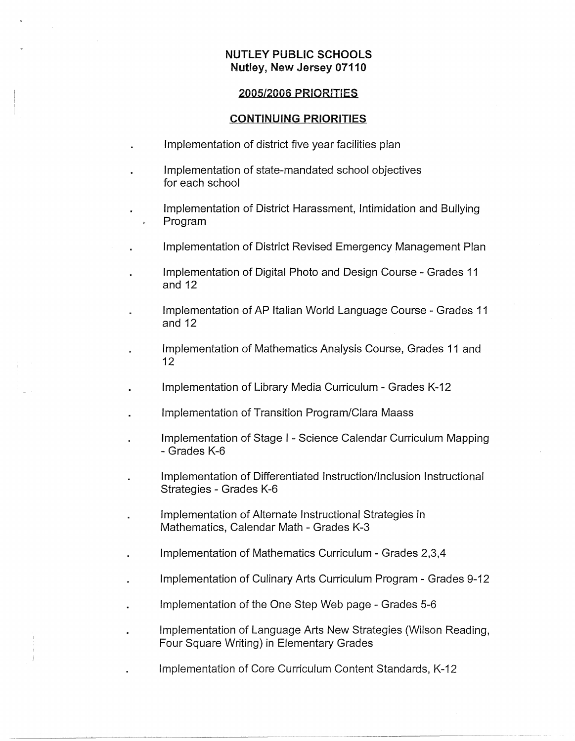## **NUTLEY PUBLIC SCHOOLS Nutley, New Jersey 07110**

#### **2005/2006 PRIORITIES**

#### **CONTINUING PRIORITIES**

- Implementation of district five year facilities plan
- Implementation of state-mandated school objectives for each school
- Implementation of District Harassment, Intimidation and Bullying Program
- Implementation of District Revised Emergency Management Plan
	- Implementation of Digital Photo and Design Course Grades 11 and 12
	- Implementation of AP Italian World Language Course Grades 11 and 12
	- Implementation of Mathematics Analysis Course, Grades 11 and 12
	- Implementation of Library Media Curriculum Grades K-12
	- Implementation of Transition Program/Clara Maass
	- Implementation of Stage I Science Calendar Curriculum Mapping - Grades K-6
		- Implementation of Differentiated Instruction/Inclusion Instructional Strategies - Grades K-6
	- Implementation of Alternate Instructional Strategies in Mathematics, Calendar Math - Grades K-3
	- Implementation of Mathematics Curriculum Grades 2,3,4
- Implementation of Culinary Arts Curriculum Program Grades 9-12
- Implementation of the One Step Web page Grades 5-6
- Implementation of Language Arts New Strategies (Wilson Reading, Four Square Writing) in Elementary Grades
- Implementation of Core Curriculum Content Standards, K-12

-~------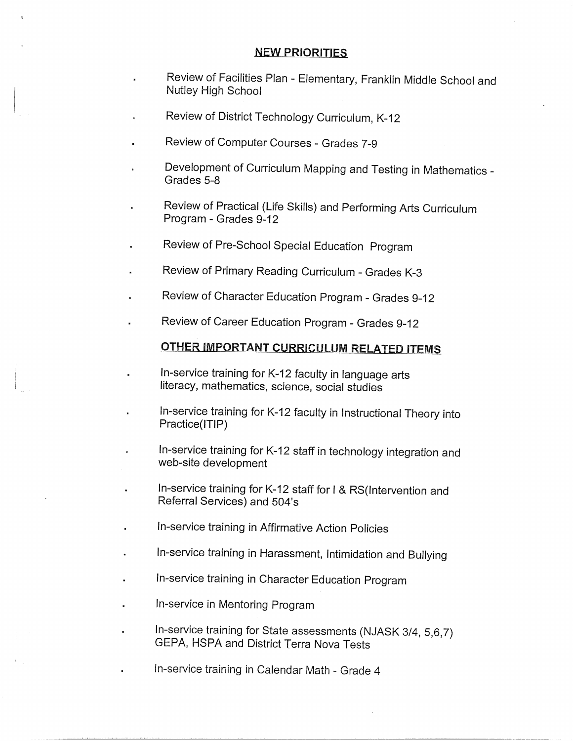### **NEW PRIORITIES**

- Review of Facilities Plan Elementary, Franklin Middle School and Nutley High School
- Review of District Technology Curriculum, K-12
- Review of Computer Courses Grades 7-9
- Development of Curriculum Mapping and Testing in Mathematics Grades 5-8
- Review of Practical (Life Skills) and Performing Arts Curriculum Program - Grades 9-12
- Review of Pre-School Special Education Program
- Review of Primary Reading Curriculum Grades K-3
- Review of Character Education Program Grades 9-12
- Review of Career Education Program Grades 9-12

# **OTHER IMPORTANT CURRICULUM RELATED ITEMS**

- In-service training for K-12 faculty in language arts literacy, mathematics, science, social studies
- In-service training for K-12 faculty in Instructional Theory into Practice(ITIP)
- In-service training for K-12 staff in technology integration and ä web-site development
- In-service training for K-12 staff for I & RS(lntervention and Referral Services) and 504's
- In-service training in Affirmative Action Policies
- In-service training in Harassment, Intimidation and Bullying
- In-service training in Character Education Program
- In-service in Mentoring Program
- In-service training for State assessments (NJASK 3/4, 5,6, 7) GEPA, HSPA and District Terra Nova Tests
	- In-service training in Calendar Math Grade 4